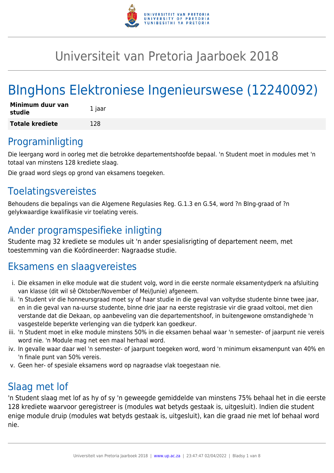

# Universiteit van Pretoria Jaarboek 2018

# BIngHons Elektroniese Ingenieurswese (12240092)

| Minimum duur van<br>studie | 1 jaar |
|----------------------------|--------|
| <b>Totale krediete</b>     | 128    |

# Programinligting

Die leergang word in oorleg met die betrokke departementshoofde bepaal. 'n Student moet in modules met 'n totaal van minstens 128 krediete slaag.

Die graad word slegs op grond van eksamens toegeken.

# Toelatingsvereistes

Behoudens die bepalings van die Algemene Regulasies Reg. G.1.3 en G.54, word ?n BIng-graad of ?n gelykwaardige kwalifikasie vir toelating vereis.

# Ander programspesifieke inligting

Studente mag 32 krediete se modules uit 'n ander spesialisrigting of departement neem, met toestemming van die Koördineerder: Nagraadse studie.

# Eksamens en slaagvereistes

- i. Die eksamen in elke module wat die student volg, word in die eerste normale eksamentydperk na afsluiting van klasse (dit wil sê Oktober/November of Mei/Junie) afgeneem.
- ii. 'n Student vir die honneursgraad moet sy of haar studie in die geval van voltydse studente binne twee jaar, en in die geval van na-uurse studente, binne drie jaar na eerste registrasie vir die graad voltooi, met dien verstande dat die Dekaan, op aanbeveling van die departementshoof, in buitengewone omstandighede 'n vasgestelde beperkte verlenging van die tydperk kan goedkeur.
- iii. 'n Student moet in elke module minstens 50% in die eksamen behaal waar 'n semester- of jaarpunt nie vereis word nie. 'n Module mag net een maal herhaal word.
- iv. In gevalle waar daar wel 'n semester- of jaarpunt toegeken word, word 'n minimum eksamenpunt van 40% en 'n finale punt van 50% vereis.
- v. Geen her- of spesiale eksamens word op nagraadse vlak toegestaan nie.

# Slaag met lof

'n Student slaag met lof as hy of sy 'n geweegde gemiddelde van minstens 75% behaal het in die eerste 128 krediete waarvoor geregistreer is (modules wat betyds gestaak is, uitgesluit). Indien die student enige module druip (modules wat betyds gestaak is, uitgesluit), kan die graad nie met lof behaal word nie.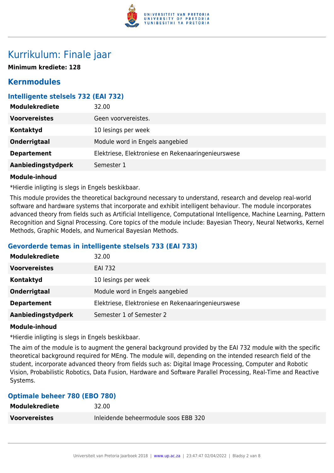

# Kurrikulum: Finale jaar

**Minimum krediete: 128**

# **Kernmodules**

# **Intelligente stelsels 732 (EAI 732)**

| <b>Modulekrediete</b> | 32.00                                              |
|-----------------------|----------------------------------------------------|
| <b>Voorvereistes</b>  | Geen voorvereistes.                                |
| Kontaktyd             | 10 lesings per week                                |
| <b>Onderrigtaal</b>   | Module word in Engels aangebied                    |
| <b>Departement</b>    | Elektriese, Elektroniese en Rekenaaringenieurswese |
| Aanbiedingstydperk    | Semester 1                                         |

#### **Module-inhoud**

\*Hierdie inligting is slegs in Engels beskikbaar.

This module provides the theoretical background necessary to understand, research and develop real-world software and hardware systems that incorporate and exhibit intelligent behaviour. The module incorporates advanced theory from fields such as Artificial Intelligence, Computational Intelligence, Machine Learning, Pattern Recognition and Signal Processing. Core topics of the module include: Bayesian Theory, Neural Networks, Kernel Methods, Graphic Models, and Numerical Bayesian Methods.

# **Gevorderde temas in intelligente stelsels 733 (EAI 733)**

| <b>Modulekrediete</b> | 32.00                                              |
|-----------------------|----------------------------------------------------|
| <b>Voorvereistes</b>  | <b>EAI 732</b>                                     |
| Kontaktyd             | 10 lesings per week                                |
| Onderrigtaal          | Module word in Engels aangebied                    |
| <b>Departement</b>    | Elektriese, Elektroniese en Rekenaaringenieurswese |
| Aanbiedingstydperk    | Semester 1 of Semester 2                           |

#### **Module-inhoud**

\*Hierdie inligting is slegs in Engels beskikbaar.

The aim of the module is to augment the general background provided by the EAI 732 module with the specific theoretical background required for MEng. The module will, depending on the intended research field of the student, incorporate advanced theory from fields such as: Digital Image Processing, Computer and Robotic Vision, Probabilistic Robotics, Data Fusion, Hardware and Software Parallel Processing, Real-Time and Reactive Systems.

# **Optimale beheer 780 (EBO 780)**

| Modulekrediete | 32.00                                |
|----------------|--------------------------------------|
| Voorvereistes  | Inleidende beheermodule soos EBB 320 |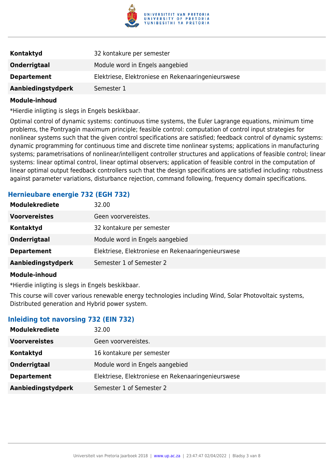

| Kontaktyd          | 32 kontakure per semester                          |
|--------------------|----------------------------------------------------|
| Onderrigtaal       | Module word in Engels aangebied                    |
| <b>Departement</b> | Elektriese, Elektroniese en Rekenaaringenieurswese |
| Aanbiedingstydperk | Semester 1                                         |

\*Hierdie inligting is slegs in Engels beskikbaar.

Optimal control of dynamic systems: continuous time systems, the Euler Lagrange equations, minimum time problems, the Pontryagin maximum principle; feasible control: computation of control input strategies for nonlinear systems such that the given control specifications are satisfied; feedback control of dynamic systems: dynamic programming for continuous time and discrete time nonlinear systems; applications in manufacturing systems; parametrisations of nonlinear/intelligent controller structures and applications of feasible control; linear systems: linear optimal control, linear optimal observers; application of feasible control in the computation of linear optimal output feedback controllers such that the design specifications are satisfied including: robustness against parameter variations, disturbance rejection, command following, frequency domain specifications.

# **Hernieubare energie 732 (EGH 732)**

| <b>Modulekrediete</b> | 32.00                                              |
|-----------------------|----------------------------------------------------|
| <b>Voorvereistes</b>  | Geen voorvereistes.                                |
| <b>Kontaktyd</b>      | 32 kontakure per semester                          |
| Onderrigtaal          | Module word in Engels aangebied                    |
| <b>Departement</b>    | Elektriese, Elektroniese en Rekenaaringenieurswese |
| Aanbiedingstydperk    | Semester 1 of Semester 2                           |

#### **Module-inhoud**

\*Hierdie inligting is slegs in Engels beskikbaar.

This course will cover various renewable energy technologies including Wind, Solar Photovoltaic systems, Distributed generation and Hybrid power system.

#### **Inleiding tot navorsing 732 (EIN 732)**

| <b>Modulekrediete</b> | 32.00                                              |
|-----------------------|----------------------------------------------------|
| <b>Voorvereistes</b>  | Geen voorvereistes.                                |
| Kontaktyd             | 16 kontakure per semester                          |
| Onderrigtaal          | Module word in Engels aangebied                    |
| <b>Departement</b>    | Elektriese, Elektroniese en Rekenaaringenieurswese |
| Aanbiedingstydperk    | Semester 1 of Semester 2                           |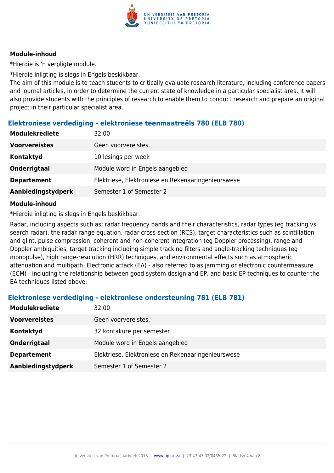

\*Hierdie is 'n verpligte module.

\*Hierdie inligting is slegs in Engels beskikbaar.

The aim of this module is to teach students to critically evaluate research literature, including conference papers and journal articles, in order to determine the current state of knowledge in a particular specialist area. It will also provide students with the principles of research to enable them to conduct research and prepare an original project in their particular specialist area.

# **Elektroniese verdediging - elektroniese teenmaatreëls 780 (ELB 780)**

| Modulekrediete       | 32.00                                              |
|----------------------|----------------------------------------------------|
| <b>Voorvereistes</b> | Geen voorvereistes.                                |
| <b>Kontaktyd</b>     | 10 lesings per week                                |
| <b>Onderrigtaal</b>  | Module word in Engels aangebied                    |
| <b>Departement</b>   | Elektriese, Elektroniese en Rekenaaringenieurswese |
| Aanbiedingstydperk   | Semester 1 of Semester 2                           |
|                      |                                                    |

#### **Module-inhoud**

\*Hierdie inligting is slegs in Engels beskikbaar.

Radar, including aspects such as: radar frequency bands and their characteristics, radar types (eg tracking vs search radar), the radar range equation, radar cross-section (RCS), target characteristics such as scintillation and glint, pulse compression, coherent and non-coherent integration (eg Doppler processing), range and Doppler ambiquities, target tracking including simple tracking filters and angle-tracking techniques (eg monopulse), high range-resolution (HRR) techniques, and environmental effects such as atmospheric attenuation and multipath. Electronic attack (EA) - also referred to as jamming or electronic countermeasure (ECM) - including the relationship between good system design and EP, and basic EP techniques to counter the EA techniques listed above.

# **Elektroniese verdediging - elektroniese ondersteuning 781 (ELB 781)**

| <b>Modulekrediete</b> | 32.00                                              |
|-----------------------|----------------------------------------------------|
| <b>Voorvereistes</b>  | Geen voorvereistes.                                |
| Kontaktyd             | 32 kontakure per semester                          |
| Onderrigtaal          | Module word in Engels aangebied                    |
| <b>Departement</b>    | Elektriese, Elektroniese en Rekenaaringenieurswese |
| Aanbiedingstydperk    | Semester 1 of Semester 2                           |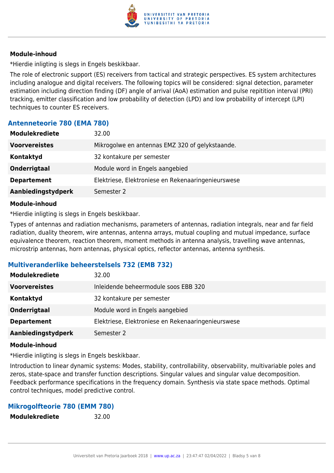

\*Hierdie inligting is slegs in Engels beskikbaar.

The role of electronic support (ES) receivers from tactical and strategic perspectives. ES system architectures including analogue and digital receivers. The following topics will be considered: signal detection, parameter estimation including direction finding (DF) angle of arrival (AoA) estimation and pulse repitition interval (PRI) tracking, emitter classification and low probability of detection (LPD) and low probability of intercept (LPI) techniques to counter ES receivers.

# **Antenneteorie 780 (EMA 780)**

| <b>Modulekrediete</b><br>32.00   |                                                    |
|----------------------------------|----------------------------------------------------|
| <b>Voorvereistes</b>             | Mikrogolwe en antennas EMZ 320 of gelykstaande.    |
| Kontaktyd                        | 32 kontakure per semester                          |
| Onderrigtaal                     | Module word in Engels aangebied                    |
| <b>Departement</b>               | Elektriese, Elektroniese en Rekenaaringenieurswese |
| Aanbiedingstydperk<br>Semester 2 |                                                    |

#### **Module-inhoud**

\*Hierdie inligting is slegs in Engels beskikbaar.

Types of antennas and radiation mechanisms, parameters of antennas, radiation integrals, near and far field radiation, duality theorem, wire antennas, antenna arrays, mutual coupling and mutual impedance, surface equivalence theorem, reaction theorem, moment methods in antenna analysis, travelling wave antennas, microstrip antennas, horn antennas, physical optics, reflector antennas, antenna synthesis.

# **Multiveranderlike beheerstelsels 732 (EMB 732)**

| <b>Modulekrediete</b> | 32.00                                              |
|-----------------------|----------------------------------------------------|
| <b>Voorvereistes</b>  | Inleidende beheermodule soos EBB 320               |
| Kontaktyd             | 32 kontakure per semester                          |
| Onderrigtaal          | Module word in Engels aangebied                    |
| <b>Departement</b>    | Elektriese, Elektroniese en Rekenaaringenieurswese |
| Aanbiedingstydperk    | Semester 2                                         |

#### **Module-inhoud**

\*Hierdie inligting is slegs in Engels beskikbaar.

Introduction to linear dynamic systems: Modes, stability, controllability, observability, multivariable poles and zeros, state-space and transfer function descriptions. Singular values and singular value decomposition. Feedback performance specifications in the frequency domain. Synthesis via state space methods. Optimal control techniques, model predictive control.

#### **Mikrogolfteorie 780 (EMM 780)**

**Modulekrediete** 32.00

Universiteit van Pretoria Jaarboek 2018 | [www.up.ac.za](https://www.up.ac.za/yearbooks/home) | 23:47:47 02/04/2022 | Bladsy 5 van 8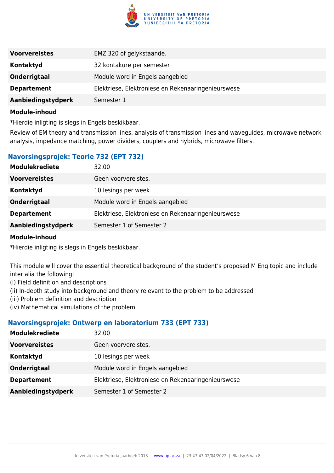

| <b>Voorvereistes</b> | EMZ 320 of gelykstaande.                           |
|----------------------|----------------------------------------------------|
| Kontaktyd            | 32 kontakure per semester                          |
| Onderrigtaal         | Module word in Engels aangebied                    |
| <b>Departement</b>   | Elektriese, Elektroniese en Rekenaaringenieurswese |
| Aanbiedingstydperk   | Semester 1                                         |

\*Hierdie inligting is slegs in Engels beskikbaar.

Review of EM theory and transmission lines, analysis of transmission lines and waveguides, microwave network analysis, impedance matching, power dividers, couplers and hybrids, microwave filters.

# **Navorsingsprojek: Teorie 732 (EPT 732)**

| <b>Modulekrediete</b> | 32.00                                              |
|-----------------------|----------------------------------------------------|
| <b>Voorvereistes</b>  | Geen voorvereistes.                                |
| <b>Kontaktyd</b>      | 10 lesings per week                                |
| Onderrigtaal          | Module word in Engels aangebied                    |
| <b>Departement</b>    | Elektriese, Elektroniese en Rekenaaringenieurswese |
| Aanbiedingstydperk    | Semester 1 of Semester 2                           |

#### **Module-inhoud**

\*Hierdie inligting is slegs in Engels beskikbaar.

This module will cover the essential theoretical background of the student's proposed M Eng topic and include inter alia the following:

- (i) Field definition and descriptions
- (ii) In-depth study into background and theory relevant to the problem to be addressed
- (iii) Problem definition and description
- (iv) Mathematical simulations of the problem

#### **Navorsingsprojek: Ontwerp en laboratorium 733 (EPT 733)**

| <b>Modulekrediete</b> | 32.00                                              |
|-----------------------|----------------------------------------------------|
| <b>Voorvereistes</b>  | Geen voorvereistes.                                |
| Kontaktyd             | 10 lesings per week                                |
| Onderrigtaal          | Module word in Engels aangebied                    |
| <b>Departement</b>    | Elektriese, Elektroniese en Rekenaaringenieurswese |
| Aanbiedingstydperk    | Semester 1 of Semester 2                           |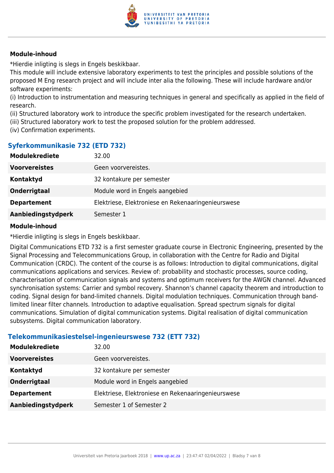

\*Hierdie inligting is slegs in Engels beskikbaar.

This module will include extensive laboratory experiments to test the principles and possible solutions of the proposed M Eng research project and will include inter alia the following. These will include hardware and/or software experiments:

(i) Introduction to instrumentation and measuring techniques in general and specifically as applied in the field of research.

(ii) Structured laboratory work to introduce the specific problem investigated for the research undertaken.

- (iii) Structured laboratory work to test the proposed solution for the problem addressed.
- (iv) Confirmation experiments.

# **Syferkommunikasie 732 (ETD 732)**

| <b>Modulekrediete</b> | 32.00                                              |
|-----------------------|----------------------------------------------------|
| <b>Voorvereistes</b>  | Geen voorvereistes.                                |
| Kontaktyd             | 32 kontakure per semester                          |
| Onderrigtaal          | Module word in Engels aangebied                    |
| <b>Departement</b>    | Elektriese, Elektroniese en Rekenaaringenieurswese |
| Aanbiedingstydperk    | Semester 1                                         |

#### **Module-inhoud**

\*Hierdie inligting is slegs in Engels beskikbaar.

Digital Communications ETD 732 is a first semester graduate course in Electronic Engineering, presented by the Signal Processing and Telecommunications Group, in collaboration with the Centre for Radio and Digital Communication (CRDC). The content of the course is as follows: Introduction to digital communications, digital communications applications and services. Review of: probability and stochastic processes, source coding, characterisation of communication signals and systems and optimum receivers for the AWGN channel. Advanced synchronisation systems: Carrier and symbol recovery. Shannon's channel capacity theorem and introduction to coding. Signal design for band-limited channels. Digital modulation techniques. Communication through bandlimited linear filter channels. Introduction to adaptive equalisation. Spread spectrum signals for digital communications. Simulation of digital communication systems. Digital realisation of digital communication subsystems. Digital communication laboratory.

# **Telekommunikasiestelsel-ingenieurswese 732 (ETT 732)**

| <b>Modulekrediete</b> | 32.00                                              |
|-----------------------|----------------------------------------------------|
| <b>Voorvereistes</b>  | Geen voorvereistes.                                |
| Kontaktyd             | 32 kontakure per semester                          |
| Onderrigtaal          | Module word in Engels aangebied                    |
| <b>Departement</b>    | Elektriese, Elektroniese en Rekenaaringenieurswese |
| Aanbiedingstydperk    | Semester 1 of Semester 2                           |